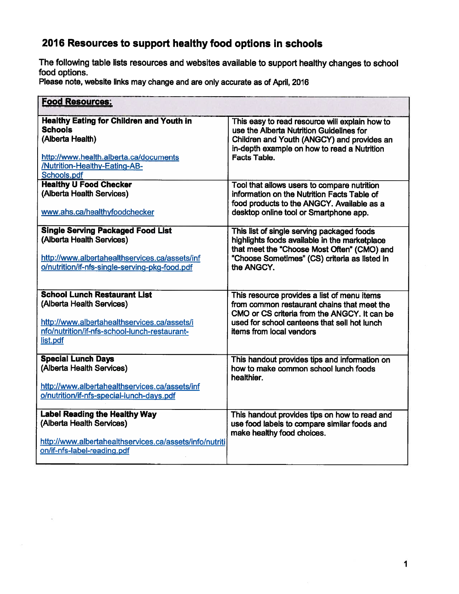The following table lists resources and websites available to suppor<sup>t</sup> healthy changes to school food options.

Please note, website links may change and are only accurate as of April, 2016

| <b>Food Resources:</b>                                                                                                                                                          |                                                                                                                                                                                                                        |  |
|---------------------------------------------------------------------------------------------------------------------------------------------------------------------------------|------------------------------------------------------------------------------------------------------------------------------------------------------------------------------------------------------------------------|--|
| <b>Healthy Eating for Children and Youth in</b><br><b>Schools</b><br>(Alberta Health)<br>http://www.health.alberta.ca/documents<br>/Nutrition-Healthy-Eating-AB-<br>Schools.pdf | This easy to read resource will explain how to<br>use the Alberta Nutrition Guidelines for<br>Children and Youth (ANGCY) and provides an<br>in-depth example on how to read a Nutrition<br>Facts Table.                |  |
| <b>Healthy U Food Checker</b><br>(Alberta Health Services)<br>www.ahs.ca/healthyfoodchecker                                                                                     | Tool that allows users to compare nutrition<br>information on the Nutrition Facts Table of<br>food products to the ANGCY. Available as a<br>desktop online tool or Smartphone app.                                     |  |
| <b>Single Serving Packaged Food List</b><br>(Alberta Health Services)<br>http://www.albertahealthservices.ca/assets/inf<br>o/nutrition/if-nfs-single-serving-pkg-food.pdf       | This list of single serving packaged foods<br>highlights foods available in the marketplace<br>that meet the "Choose Most Often" (CMO) and<br>"Choose Sometimes" (CS) criteria as listed in<br>the ANGCY.              |  |
| <b>School Lunch Restaurant List</b><br>(Alberta Health Services)<br>http://www.albertahealthservices.ca/assets/i<br>nfo/nutrition/if-nfs-school-lunch-restaurant-<br>list.pdf   | This resource provides a list of menu items<br>from common restaurant chains that meet the<br>CMO or CS criteria from the ANGCY. It can be<br>used for school canteens that sell hot lunch<br>items from local vendors |  |
| <b>Special Lunch Days</b><br>(Alberta Health Services)<br>http://www.albertahealthservices.ca/assets/inf<br>o/nutrition/if-nfs-special-lunch-days.pdf                           | This handout provides tips and information on<br>how to make common school lunch foods<br>healthier.                                                                                                                   |  |
| <b>Label Reading the Healthy Way</b><br>(Alberta Health Services)<br>http://www.albertahealthservices.ca/assets/info/nutriti<br>on/if-nfs-label-reading.pdf                     | This handout provides tips on how to read and<br>use food labels to compare similar foods and<br>make healthy food choices.                                                                                            |  |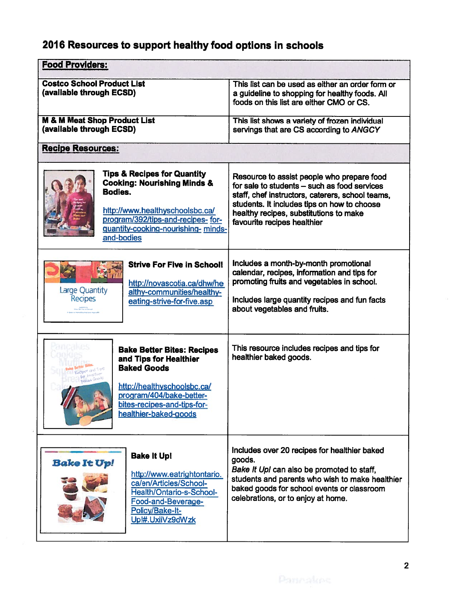| <b>Food Providers:</b>                                                                                                                                                                                                   |                                                                                                                                                                                                                                                                        |  |
|--------------------------------------------------------------------------------------------------------------------------------------------------------------------------------------------------------------------------|------------------------------------------------------------------------------------------------------------------------------------------------------------------------------------------------------------------------------------------------------------------------|--|
| <b>Costco School Product List</b><br>(available through ECSD)                                                                                                                                                            | This list can be used as either an order form or<br>a guideline to shopping for healthy foods. All<br>foods on this list are either CMO or CS.                                                                                                                         |  |
| <b>M &amp; M Meat Shop Product List</b><br>(available through ECSD)                                                                                                                                                      | This list shows a variety of frozen individual<br>servings that are CS according to ANGCY                                                                                                                                                                              |  |
| <b>Recipe Resources:</b>                                                                                                                                                                                                 |                                                                                                                                                                                                                                                                        |  |
| <b>Tips &amp; Recipes for Quantity</b><br><b>Cooking: Nourishing Minds &amp;</b><br>Bodies.<br>http://www.healthyschoolsbc.ca/<br>program/392/tips-and-recipes-for-<br>guantity-cooking-nourishing- minds-<br>and-bodies | Resource to assist people who prepare food<br>for sale to students - such as food services<br>staff, chef instructors, caterers, school teams,<br>students. It includes tips on how to choose<br>healthy recipes, substitutions to make<br>favourite recipes healthier |  |
| <b>Strive For Five in School!</b><br>http://novascotia.ca/dhw/he<br><b>Large Quantity</b><br>althy-communities/healthy-<br><b>Recipes</b><br>eating-strive-for-five.asp<br><b>The Company of Servers</b>                 | Includes a month-by-month promotional<br>calendar, recipes, information and tips for<br>promoting fruits and vegetables in school.<br>Includes large quantity recipes and fun facts<br>about vegetables and fruits.                                                    |  |
| <b>Bake Better Bites: Recipes</b><br>and Tips for Healthier<br><b>Baked Goods</b><br>http://healthyschoolsbc.ca/<br>program/404/bake-better-<br>bites-recipes-and-tips-for-<br>healthier-baked-goods                     | This resource includes recipes and tips for<br>healthier baked goods.                                                                                                                                                                                                  |  |
| <b>Bake It Upi</b><br><b>Bake It Up!</b><br>http://www.eatrightontario.<br>ca/en/Articles/School-<br><b>Health/Ontario-s-School-</b><br>Food-and-Beverage-<br>Policy/Bake-It-<br>Up!#.UxiiVz9dWzk                        | Includes over 20 recipes for healthier baked<br>goods.<br>Bake It Up! can also be promoted to staff,<br>students and parents who wish to make healthier<br>baked goods for school events or classroom<br>celebrations, or to enjoy at home.                            |  |

I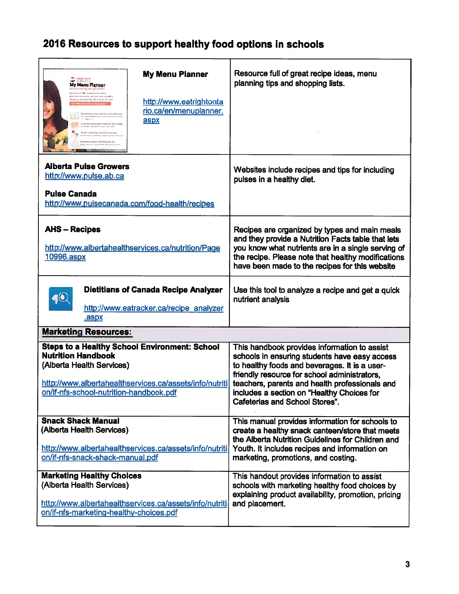| 2016 Resources to support healthy food options in schools                                                                                                                                                                                                                                                                                                                                                                                                                                                                                                                                                                                                            |                                                                                                                                                                                                                                                                                                                                         |  |
|----------------------------------------------------------------------------------------------------------------------------------------------------------------------------------------------------------------------------------------------------------------------------------------------------------------------------------------------------------------------------------------------------------------------------------------------------------------------------------------------------------------------------------------------------------------------------------------------------------------------------------------------------------------------|-----------------------------------------------------------------------------------------------------------------------------------------------------------------------------------------------------------------------------------------------------------------------------------------------------------------------------------------|--|
| <b>My Menu Planner</b><br><b>SEAMBRO AVENUE</b><br>My Menu Planner<br>vy weliczej jast got dowór<br>moved at you have a morning the scopes<br>point for you moule only loss tone streeting<br>stropping and cooking We'll stirre join beer<br>http://www.eatrightonta<br><b>Mald Route Lan.La</b><br>rio.ca/en/menuplanner.<br>Got a portugalized sports plansingly aca not<br>note your pool<br>aspx<br>A weekly meas plan to past an year for<br>men sou pler te sur courtaines.<br>Pleasily exists from trained to stour used<br>Mit heimt aufstlien ziest von deligt<br><b>Received reduces and alwaysing last</b><br>help are office some of the first series t | Resource full of great recipe ideas, menu<br>planning tips and shopping lists.                                                                                                                                                                                                                                                          |  |
| <b>Alberta Pulse Growers</b><br>http://www.pulse.ab.ca<br><b>Pulse Canada</b><br>http://www.pulsecanada.com/food-health/recipes                                                                                                                                                                                                                                                                                                                                                                                                                                                                                                                                      | Websites include recipes and tips for including<br>pulses in a healthy diet.                                                                                                                                                                                                                                                            |  |
| <b>AHS-Recipes</b><br>http://www.albertahealthservices.ca/nutrition/Page<br>10996.aspx                                                                                                                                                                                                                                                                                                                                                                                                                                                                                                                                                                               | Recipes are organized by types and main meals<br>and they provide a Nutrition Facts table that lets<br>you know what nutrients are in a single serving of<br>the recipe. Please note that healthy modifications<br>have been made to the recipes for this website                                                                       |  |
| <b>Dietitians of Canada Recipe Analyzer</b><br>O<br>http://www.eatracker.ca/recipe analyzer<br>.aspx                                                                                                                                                                                                                                                                                                                                                                                                                                                                                                                                                                 | Use this tool to analyze a recipe and get a quick<br>nutrient analysis                                                                                                                                                                                                                                                                  |  |
| <b>Marketing Resources:</b>                                                                                                                                                                                                                                                                                                                                                                                                                                                                                                                                                                                                                                          |                                                                                                                                                                                                                                                                                                                                         |  |
| <b>Steps to a Healthy School Environment: School</b><br><b>Nutrition Handbook</b><br>(Alberta Health Services)<br>http://www.albertahealthservices.ca/assets/info/nutriti<br>on/if-nfs-school-nutrition-handbook.pdf                                                                                                                                                                                                                                                                                                                                                                                                                                                 | This handbook provides information to assist<br>schools in ensuring students have easy access<br>to healthy foods and beverages. It is a user-<br>friendly resource for school administrators,<br>teachers, parents and health professionals and<br>includes a section on "Healthy Choices for<br><b>Cafeterias and School Stores".</b> |  |
| <b>Snack Shack Manual</b><br>(Alberta Health Services)<br>http://www.albertahealthservices.ca/assets/info/nutriti<br>on/if-nfs-snack-shack-manual.pdf                                                                                                                                                                                                                                                                                                                                                                                                                                                                                                                | This manual provides information for schools to<br>create a healthy snack canteen/store that meets<br>the Alberta Nutrition Guidelines for Children and<br>Youth. It includes recipes and information on<br>marketing, promotions, and costing.                                                                                         |  |
| <b>Marketing Healthy Choices</b><br>(Alberta Health Services)<br>http://www.albertahealthservices.ca/assets/info/nutriti<br>on/if-nfs-marketing-healthy-choices.pdf                                                                                                                                                                                                                                                                                                                                                                                                                                                                                                  | This handout provides information to assist<br>schools with marketing healthy food choices by<br>explaining product availability, promotion, pricing<br>and placement.                                                                                                                                                                  |  |